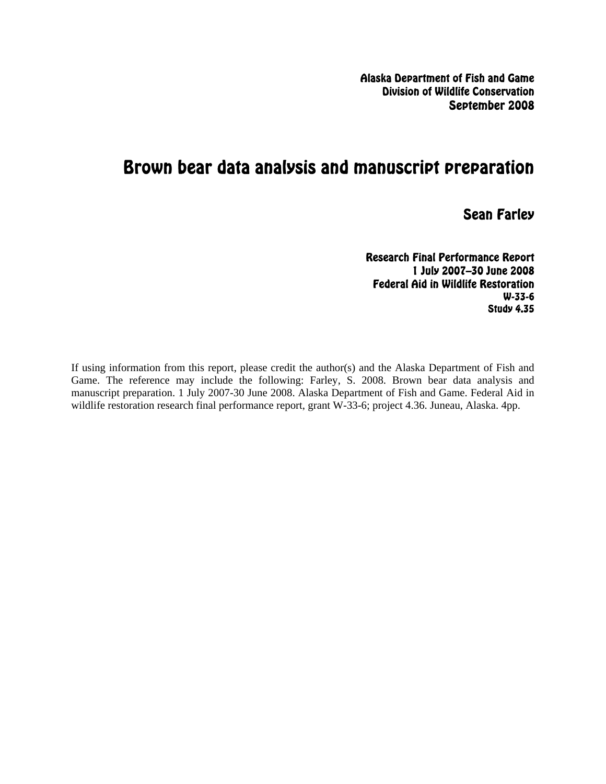Alaska Department of Fish and Game Division of Wildlife Conservation September 2008

# Brown bear data analysis and manuscript preparation

Sean Farley

Research Final Performance Report 1 July 2007–30 June 2008 Federal Aid in Wildlife Restoration W-33-6 Study 4.35

If using information from this report, please credit the author(s) and the Alaska Department of Fish and Game. The reference may include the following: Farley, S. 2008. Brown bear data analysis and manuscript preparation. 1 July 2007-30 June 2008. Alaska Department of Fish and Game. Federal Aid in wildlife restoration research final performance report, grant W-33-6; project 4.36. Juneau, Alaska. 4pp.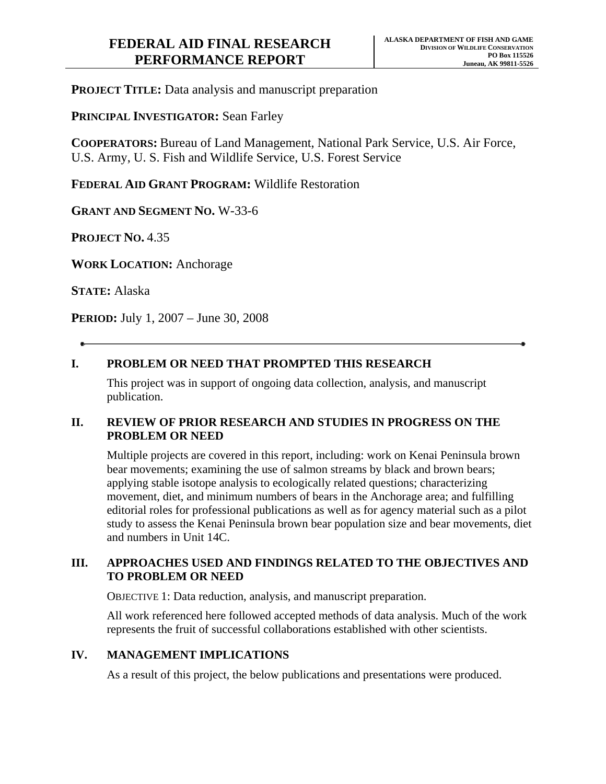**PROJECT TITLE:** Data analysis and manuscript preparation

**PRINCIPAL INVESTIGATOR: Sean Farley** 

**COOPERATORS:** Bureau of Land Management, National Park Service, U.S. Air Force, U.S. Army, U. S. Fish and Wildlife Service, U.S. Forest Service

**FEDERAL AID GRANT PROGRAM:** Wildlife Restoration

**GRANT AND SEGMENT NO.** W-33-6

**PROJECT NO.** 4.35

**WORK LOCATION:** Anchorage

**STATE:** Alaska

**PERIOD:** July 1, 2007 – June 30, 2008

# **I. PROBLEM OR NEED THAT PROMPTED THIS RESEARCH**

This project was in support of ongoing data collection, analysis, and manuscript publication.

#### **II. REVIEW OF PRIOR RESEARCH AND STUDIES IN PROGRESS ON THE PROBLEM OR NEED**

Multiple projects are covered in this report, including: work on Kenai Peninsula brown bear movements; examining the use of salmon streams by black and brown bears; applying stable isotope analysis to ecologically related questions; characterizing movement, diet, and minimum numbers of bears in the Anchorage area; and fulfilling editorial roles for professional publications as well as for agency material such as a pilot study to assess the Kenai Peninsula brown bear population size and bear movements, diet and numbers in Unit 14C.

# **III. APPROACHES USED AND FINDINGS RELATED TO THE OBJECTIVES AND TO PROBLEM OR NEED**

OBJECTIVE 1: Data reduction, analysis, and manuscript preparation.

All work referenced here followed accepted methods of data analysis. Much of the work represents the fruit of successful collaborations established with other scientists.

# **IV. MANAGEMENT IMPLICATIONS**

As a result of this project, the below publications and presentations were produced.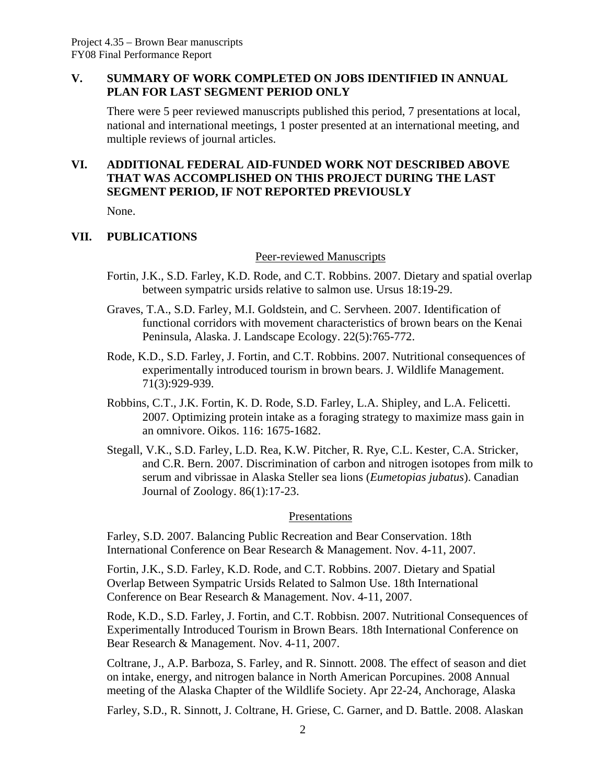#### **V. SUMMARY OF WORK COMPLETED ON JOBS IDENTIFIED IN ANNUAL PLAN FOR LAST SEGMENT PERIOD ONLY**

There were 5 peer reviewed manuscripts published this period, 7 presentations at local, national and international meetings, 1 poster presented at an international meeting, and multiple reviews of journal articles.

# **VI. ADDITIONAL FEDERAL AID-FUNDED WORK NOT DESCRIBED ABOVE THAT WAS ACCOMPLISHED ON THIS PROJECT DURING THE LAST SEGMENT PERIOD, IF NOT REPORTED PREVIOUSLY**

None.

#### **VII. PUBLICATIONS**

Peer-reviewed Manuscripts

- Fortin, J.K., S.D. Farley, K.D. Rode, and C.T. Robbins. 2007. Dietary and spatial overlap between sympatric ursids relative to salmon use. Ursus 18:19-29.
- Graves, T.A., S.D. Farley, M.I. Goldstein, and C. Servheen. 2007. Identification of functional corridors with movement characteristics of brown bears on the Kenai Peninsula, Alaska. J. Landscape Ecology. 22(5):765-772.
- Rode, K.D., S.D. Farley, J. Fortin, and C.T. Robbins. 2007. Nutritional consequences of experimentally introduced tourism in brown bears. J. Wildlife Management. 71(3):929-939.
- Robbins, C.T., J.K. Fortin, K. D. Rode, S.D. Farley, L.A. Shipley, and L.A. Felicetti. 2007. Optimizing protein intake as a foraging strategy to maximize mass gain in an omnivore. Oikos. 116: 1675-1682.
- Stegall, V.K., S.D. Farley, L.D. Rea, K.W. Pitcher, R. Rye, C.L. Kester, C.A. Stricker, and C.R. Bern. 2007. Discrimination of carbon and nitrogen isotopes from milk to serum and vibrissae in Alaska Steller sea lions (*Eumetopias jubatus*). Canadian Journal of Zoology. 86(1):17-23.

#### **Presentations**

Farley, S.D. 2007. Balancing Public Recreation and Bear Conservation. 18th International Conference on Bear Research & Management. Nov. 4-11, 2007.

Fortin, J.K., S.D. Farley, K.D. Rode, and C.T. Robbins. 2007. Dietary and Spatial Overlap Between Sympatric Ursids Related to Salmon Use. 18th International Conference on Bear Research & Management. Nov. 4-11, 2007.

Rode, K.D., S.D. Farley, J. Fortin, and C.T. Robbisn. 2007. Nutritional Consequences of Experimentally Introduced Tourism in Brown Bears. 18th International Conference on Bear Research & Management. Nov. 4-11, 2007.

Coltrane, J., A.P. Barboza, S. Farley, and R. Sinnott. 2008. The effect of season and diet on intake, energy, and nitrogen balance in North American Porcupines. 2008 Annual meeting of the Alaska Chapter of the Wildlife Society. Apr 22-24, Anchorage, Alaska

Farley, S.D., R. Sinnott, J. Coltrane, H. Griese, C. Garner, and D. Battle. 2008. Alaskan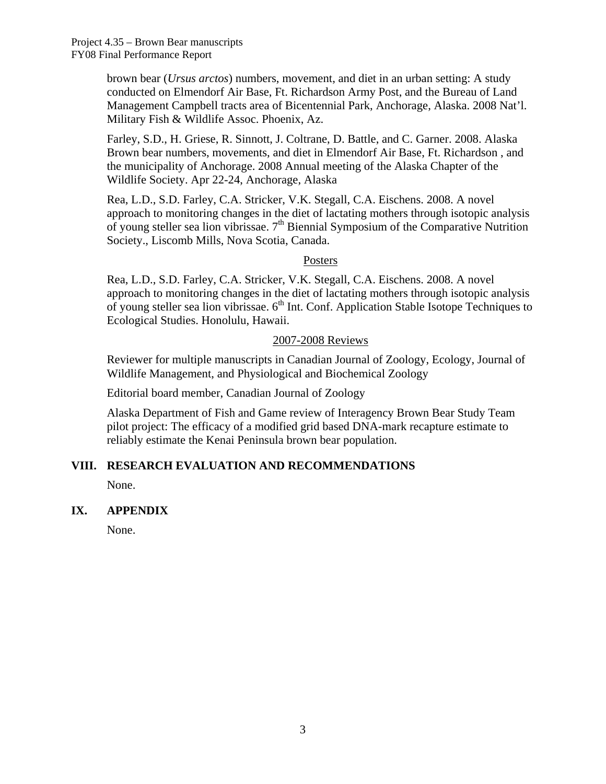brown bear (*Ursus arctos*) numbers, movement, and diet in an urban setting: A study conducted on Elmendorf Air Base, Ft. Richardson Army Post, and the Bureau of Land Management Campbell tracts area of Bicentennial Park, Anchorage, Alaska. 2008 Nat'l. Military Fish & Wildlife Assoc. Phoenix, Az.

Farley, S.D., H. Griese, R. Sinnott, J. Coltrane, D. Battle, and C. Garner. 2008. Alaska Brown bear numbers, movements, and diet in Elmendorf Air Base, Ft. Richardson , and the municipality of Anchorage. 2008 Annual meeting of the Alaska Chapter of the Wildlife Society. Apr 22-24, Anchorage, Alaska

Rea, L.D., S.D. Farley, C.A. Stricker, V.K. Stegall, C.A. Eischens. 2008. A novel approach to monitoring changes in the diet of lactating mothers through isotopic analysis of young steller sea lion vibrissae.  $7<sup>th</sup>$  Biennial Symposium of the Comparative Nutrition Society., Liscomb Mills, Nova Scotia, Canada.

#### Posters

Rea, L.D., S.D. Farley, C.A. Stricker, V.K. Stegall, C.A. Eischens. 2008. A novel approach to monitoring changes in the diet of lactating mothers through isotopic analysis of young steller sea lion vibrissae.  $6<sup>th</sup>$  Int. Conf. Application Stable Isotope Techniques to Ecological Studies. Honolulu, Hawaii.

#### 2007-2008 Reviews

Reviewer for multiple manuscripts in Canadian Journal of Zoology, Ecology, Journal of Wildlife Management, and Physiological and Biochemical Zoology

Editorial board member, Canadian Journal of Zoology

Alaska Department of Fish and Game review of Interagency Brown Bear Study Team pilot project: The efficacy of a modified grid based DNA-mark recapture estimate to reliably estimate the Kenai Peninsula brown bear population.

# **VIII. RESEARCH EVALUATION AND RECOMMENDATIONS**

None.

#### **IX. APPENDIX**

None.